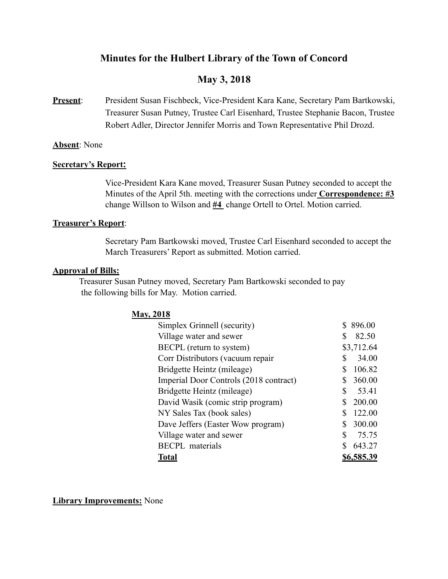# **Minutes for the Hulbert Library of the Town of Concord**

# **May 3, 2018**

**Present**: President Susan Fischbeck, Vice-President Kara Kane, Secretary Pam Bartkowski, Treasurer Susan Putney, Trustee Carl Eisenhard, Trustee Stephanie Bacon, Trustee Robert Adler, Director Jennifer Morris and Town Representative Phil Drozd.

# **Absent**: None

### **Secretary's Report:**

Vice-President Kara Kane moved, Treasurer Susan Putney seconded to accept the Minutes of the April 5th. meeting with the corrections under **Correspondence: #3**  change Willson to Wilson and **#4** change Ortell to Ortel. Motion carried.

### **Treasurer's Report**:

 Secretary Pam Bartkowski moved, Trustee Carl Eisenhard seconded to accept the March Treasurers' Report as submitted. Motion carried.

### **Approval of Bills:**

 Treasurer Susan Putney moved, Secretary Pam Bartkowski seconded to pay the following bills for May. Motion carried.

# **May, 2018**

| Simplex Grinnell (security)            | \$896.00   |
|----------------------------------------|------------|
| Village water and sewer                | 82.50      |
| BECPL (return to system)               | \$3,712.64 |
| Corr Distributors (vacuum repair       | 34.00      |
| Bridgette Heintz (mileage)             | 106.82     |
| Imperial Door Controls (2018 contract) | 360.00     |
| Bridgette Heintz (mileage)             | 53.41      |
| David Wasik (comic strip program)      | 200.00     |
| NY Sales Tax (book sales)              | 122.00     |
| Dave Jeffers (Easter Wow program)      | 300.00     |
| Village water and sewer                | 75.75      |
| <b>BECPL</b> materials                 | 643.27     |
| <b>Total</b>                           | \$6,585.39 |

**Library Improvements:** None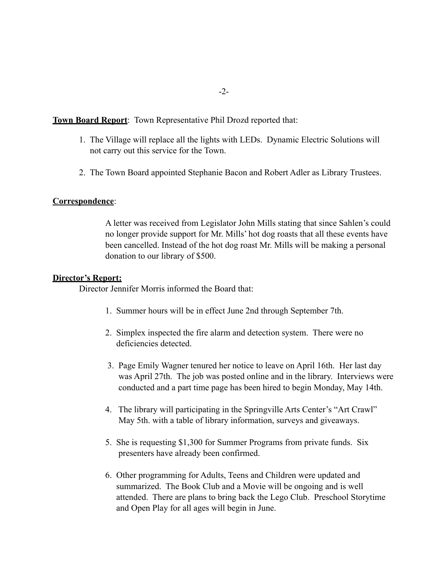### **Town Board Report**: Town Representative Phil Drozd reported that:

- 1. The Village will replace all the lights with LEDs. Dynamic Electric Solutions will not carry out this service for the Town.
- 2. The Town Board appointed Stephanie Bacon and Robert Adler as Library Trustees.

#### **Correspondence**:

 A letter was received from Legislator John Mills stating that since Sahlen's could no longer provide support for Mr. Mills' hot dog roasts that all these events have been cancelled. Instead of the hot dog roast Mr. Mills will be making a personal donation to our library of \$500.

#### **Director's Report:**

Director Jennifer Morris informed the Board that:

- 1. Summer hours will be in effect June 2nd through September 7th.
- 2. Simplex inspected the fire alarm and detection system. There were no deficiencies detected.
- 3. Page Emily Wagner tenured her notice to leave on April 16th. Her last day was April 27th. The job was posted online and in the library. Interviews were conducted and a part time page has been hired to begin Monday, May 14th.
- 4. The library will participating in the Springville Arts Center's "Art Crawl" May 5th. with a table of library information, surveys and giveaways.
- 5. She is requesting \$1,300 for Summer Programs from private funds. Six presenters have already been confirmed.
- 6. Other programming for Adults, Teens and Children were updated and summarized. The Book Club and a Movie will be ongoing and is well attended. There are plans to bring back the Lego Club. Preschool Storytime and Open Play for all ages will begin in June.